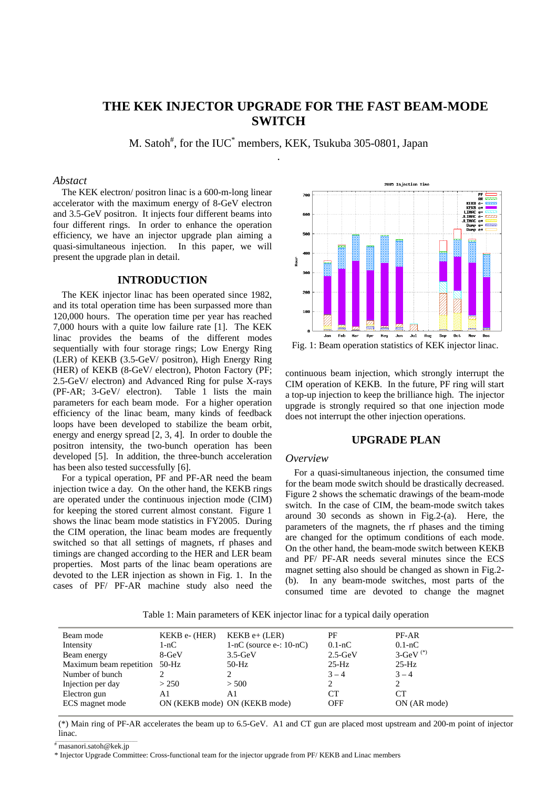# **THE KEK INJECTOR UPGRADE FOR THE FAST BEAM-MODE SWITCH**

M. Satoh<sup>#</sup>, for the IUC<sup>\*</sup> members, KEK, Tsukuba 305-0801, Japan .

## *Abstact*

The KEK electron/ positron linac is a 600-m-long linear accelerator with the maximum energy of 8-GeV electron and 3.5-GeV positron. It injects four different beams into four different rings. In order to enhance the operation efficiency, we have an injector upgrade plan aiming a quasi-simultaneous injection. In this paper, we will present the upgrade plan in detail.

### **INTRODUCTION**

The KEK injector linac has been operated since 1982, and its total operation time has been surpassed more than 120,000 hours. The operation time per year has reached 7,000 hours with a quite low failure rate [1]. The KEK linac provides the beams of the different modes sequentially with four storage rings; Low Energy Ring (LER) of KEKB (3.5-GeV/ positron), High Energy Ring (HER) of KEKB (8-GeV/ electron), Photon Factory (PF; 2.5-GeV/ electron) and Advanced Ring for pulse X-rays (PF-AR; 3-GeV/ electron). Table 1 lists the main parameters for each beam mode. For a higher operation efficiency of the linac beam, many kinds of feedback loops have been developed to stabilize the beam orbit, energy and energy spread [2, 3, 4]. In order to double the positron intensity, the two-bunch operation has been developed [5]. In addition, the three-bunch acceleration has been also tested successfully [6].

For a typical operation, PF and PF-AR need the beam injection twice a day. On the other hand, the KEKB rings are operated under the continuous injection mode (CIM) for keeping the stored current almost constant. Figure 1 shows the linac beam mode statistics in FY2005. During the CIM operation, the linac beam modes are frequently switched so that all settings of magnets, rf phases and timings are changed according to the HER and LER beam properties. Most parts of the linac beam operations are devoted to the LER injection as shown in Fig. 1. In the cases of PF/ PF-AR machine study also need the



Fig. 1: Beam operation statistics of KEK injector linac.

continuous beam injection, which strongly interrupt the CIM operation of KEKB. In the future, PF ring will start a top-up injection to keep the brilliance high. The injector upgrade is strongly required so that one injection mode does not interrupt the other injection operations.

## **UPGRADE PLAN**

#### *Overview*

For a quasi-simultaneous injection, the consumed time for the beam mode switch should be drastically decreased. Figure 2 shows the schematic drawings of the beam-mode switch. In the case of CIM, the beam-mode switch takes around 30 seconds as shown in Fig.2-(a). Here, the parameters of the magnets, the rf phases and the timing are changed for the optimum conditions of each mode. On the other hand, the beam-mode switch between KEKB and PF/ PF-AR needs several minutes since the ECS magnet setting also should be changed as shown in Fig.2- (b). In any beam-mode switches, most parts of the consumed time are devoted to change the magnet

Table 1: Main parameters of KEK injector linac for a typical daily operation

| Beam mode               | KEKB e- (HER) | $KEKB$ e+ (LER)               | PF          | PF-AR                  |
|-------------------------|---------------|-------------------------------|-------------|------------------------|
| Intensity               | 1-nC          | $1-nC$ (source e-: $10-nC$ )  | $0.1 - nC$  | $0.1 - nC$             |
| Beam energy             | 8-GeV         | $3.5 - GeV$                   | $2.5 - GeV$ | $3-GeV$ <sup>(*)</sup> |
| Maximum beam repetition | 50-Hz         | 50-Hz                         | $25-Hz$     | $25-Hz$                |
| Number of bunch         |               |                               | $3 - 4$     | $3 - 4$                |
| Injection per day       | > 250         | > 500                         |             |                        |
| Electron gun            | A1            | A1                            | CТ          | CТ                     |
| ECS magnet mode         |               | ON (KEKB mode) ON (KEKB mode) | <b>OFF</b>  | ON (AR mode)           |
|                         |               |                               |             |                        |

(\*) Main ring of PF-AR accelerates the beam up to 6.5-GeV. A1 and CT gun are placed most upstream and 200-m point of injector linac.

\_\_\_\_\_\_\_\_\_\_\_\_\_\_\_\_\_\_\_\_\_\_\_\_\_\_\_\_\_\_\_\_\_\_\_\_\_\_\_\_\_\_\_ # masanori.satoh@kek.jp

\* Injector Upgrade Committee: Cross-functional team for the injector upgrade from PF/ KEKB and Linac members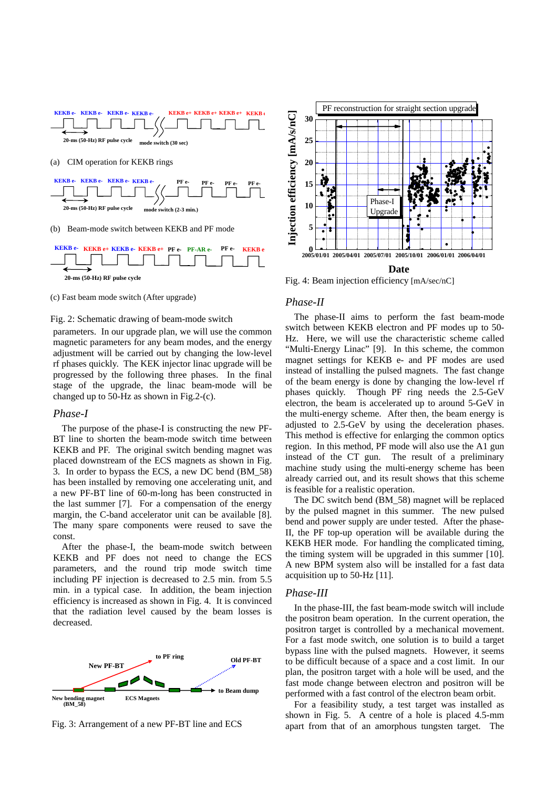



(c) Fast beam mode switch (After upgrade)

## Fig. 2: Schematic drawing of beam-mode switch

parameters. In our upgrade plan, we will use the common magnetic parameters for any beam modes, and the energy adjustment will be carried out by changing the low-level rf phases quickly. The KEK injector linac upgrade will be progressed by the following three phases. In the final stage of the upgrade, the linac beam-mode will be changed up to 50-Hz as shown in Fig.2-(c).

#### *Phase-I*

The purpose of the phase-I is constructing the new PF-BT line to shorten the beam-mode switch time between KEKB and PF. The original switch bending magnet was placed downstream of the ECS magnets as shown in Fig. 3. In order to bypass the ECS, a new DC bend (BM\_58) has been installed by removing one accelerating unit, and a new PF-BT line of 60-m-long has been constructed in the last summer [7]. For a compensation of the energy margin, the C-band accelerator unit can be available [8]. The many spare components were reused to save the const.

After the phase-I, the beam-mode switch between KEKB and PF does not need to change the ECS parameters, and the round trip mode switch time including PF injection is decreased to 2.5 min. from 5.5 min. in a typical case. In addition, the beam injection efficiency is increased as shown in Fig. 4. It is convinced that the radiation level caused by the beam losses is decreased.



Fig. 3: Arrangement of a new PF-BT line and ECS



Fig. 4: Beam injection efficiency [mA/sec/nC]

#### *Phase-II*

The phase-II aims to perform the fast beam-mode switch between KEKB electron and PF modes up to 50- Hz. Here, we will use the characteristic scheme called "Multi-Energy Linac" [9]. In this scheme, the common magnet settings for KEKB e- and PF modes are used instead of installing the pulsed magnets. The fast change of the beam energy is done by changing the low-level rf phases quickly. Though PF ring needs the 2.5-GeV electron, the beam is accelerated up to around 5-GeV in the multi-energy scheme. After then, the beam energy is adjusted to 2.5-GeV by using the deceleration phases. This method is effective for enlarging the common optics region. In this method, PF mode will also use the A1 gun instead of the CT gun. The result of a preliminary machine study using the multi-energy scheme has been already carried out, and its result shows that this scheme is feasible for a realistic operation.

The DC switch bend (BM\_58) magnet will be replaced by the pulsed magnet in this summer. The new pulsed bend and power supply are under tested. After the phase-II, the PF top-up operation will be available during the KEKB HER mode. For handling the complicated timing, the timing system will be upgraded in this summer [10]. A new BPM system also will be installed for a fast data acquisition up to 50-Hz [11].

#### *Phase-III*

In the phase-III, the fast beam-mode switch will include the positron beam operation. In the current operation, the positron target is controlled by a mechanical movement. For a fast mode switch, one solution is to build a target bypass line with the pulsed magnets. However, it seems to be difficult because of a space and a cost limit. In our plan, the positron target with a hole will be used, and the fast mode change between electron and positron will be performed with a fast control of the electron beam orbit.

For a feasibility study, a test target was installed as shown in Fig. 5. A centre of a hole is placed 4.5-mm apart from that of an amorphous tungsten target. The